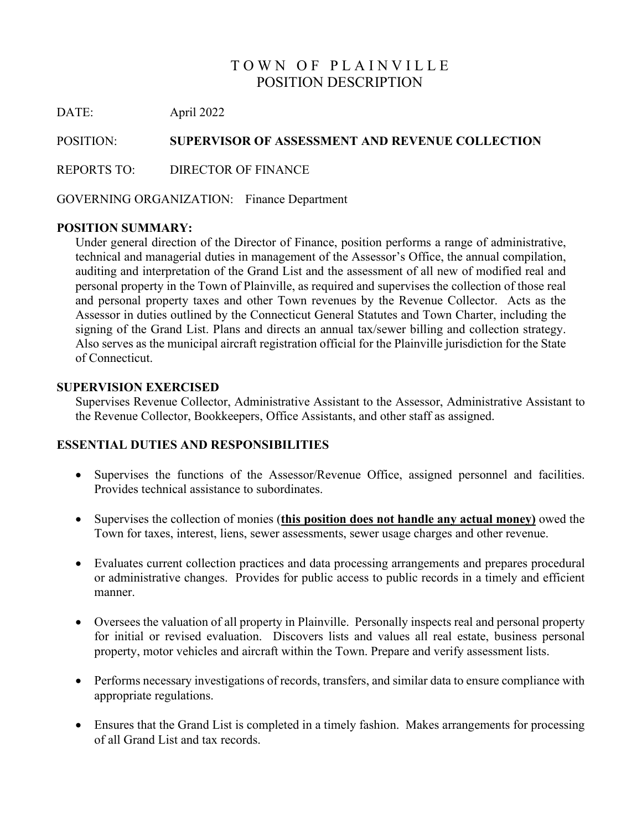# TOWN OF PLAINVILLE POSITION DESCRIPTION

DATE: April 2022

POSITION: **SUPERVISOR OF ASSESSMENT AND REVENUE COLLECTION**

REPORTS TO: DIRECTOR OF FINANCE

GOVERNING ORGANIZATION: Finance Department

# **POSITION SUMMARY:**

Under general direction of the Director of Finance, position performs a range of administrative, technical and managerial duties in management of the Assessor's Office, the annual compilation, auditing and interpretation of the Grand List and the assessment of all new of modified real and personal property in the Town of Plainville, as required and supervises the collection of those real and personal property taxes and other Town revenues by the Revenue Collector. Acts as the Assessor in duties outlined by the Connecticut General Statutes and Town Charter, including the signing of the Grand List. Plans and directs an annual tax/sewer billing and collection strategy. Also serves as the municipal aircraft registration official for the Plainville jurisdiction for the State of Connecticut.

#### **SUPERVISION EXERCISED**

Supervises Revenue Collector, Administrative Assistant to the Assessor, Administrative Assistant to the Revenue Collector, Bookkeepers, Office Assistants, and other staff as assigned.

# **ESSENTIAL DUTIES AND RESPONSIBILITIES**

- Supervises the functions of the Assessor/Revenue Office, assigned personnel and facilities. Provides technical assistance to subordinates.
- Supervises the collection of monies (**this position does not handle any actual money)** owed the Town for taxes, interest, liens, sewer assessments, sewer usage charges and other revenue.
- Evaluates current collection practices and data processing arrangements and prepares procedural or administrative changes. Provides for public access to public records in a timely and efficient manner.
- Oversees the valuation of all property in Plainville. Personally inspects real and personal property for initial or revised evaluation. Discovers lists and values all real estate, business personal property, motor vehicles and aircraft within the Town. Prepare and verify assessment lists.
- Performs necessary investigations of records, transfers, and similar data to ensure compliance with appropriate regulations.
- Ensures that the Grand List is completed in a timely fashion. Makes arrangements for processing of all Grand List and tax records.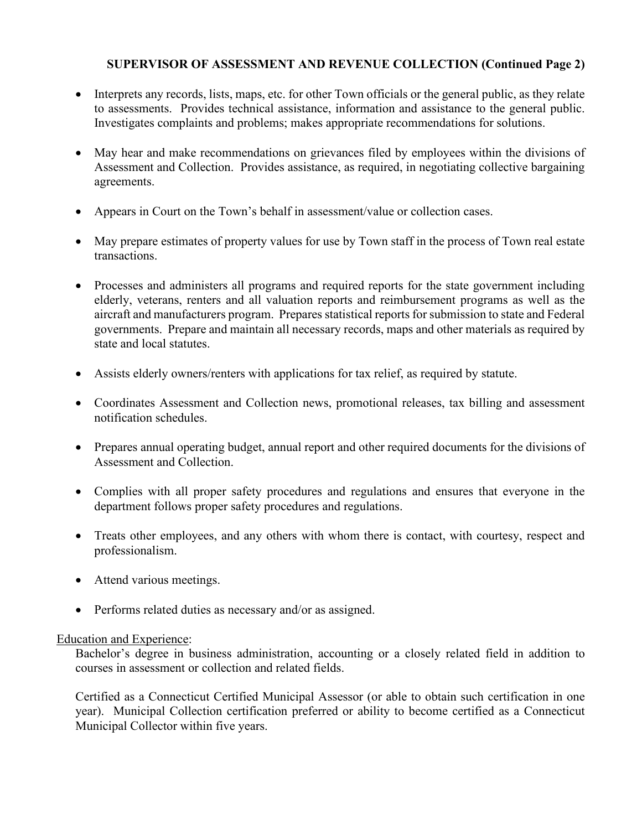# **SUPERVISOR OF ASSESSMENT AND REVENUE COLLECTION (Continued Page 2)**

- Interprets any records, lists, maps, etc. for other Town officials or the general public, as they relate to assessments. Provides technical assistance, information and assistance to the general public. Investigates complaints and problems; makes appropriate recommendations for solutions.
- May hear and make recommendations on grievances filed by employees within the divisions of Assessment and Collection. Provides assistance, as required, in negotiating collective bargaining agreements.
- Appears in Court on the Town's behalf in assessment/value or collection cases.
- May prepare estimates of property values for use by Town staff in the process of Town real estate transactions.
- Processes and administers all programs and required reports for the state government including elderly, veterans, renters and all valuation reports and reimbursement programs as well as the aircraft and manufacturers program. Prepares statistical reports for submission to state and Federal governments. Prepare and maintain all necessary records, maps and other materials as required by state and local statutes.
- Assists elderly owners/renters with applications for tax relief, as required by statute.
- Coordinates Assessment and Collection news, promotional releases, tax billing and assessment notification schedules.
- Prepares annual operating budget, annual report and other required documents for the divisions of Assessment and Collection.
- Complies with all proper safety procedures and regulations and ensures that everyone in the department follows proper safety procedures and regulations.
- Treats other employees, and any others with whom there is contact, with courtesy, respect and professionalism.
- Attend various meetings.
- Performs related duties as necessary and/or as assigned.

# Education and Experience:

Bachelor's degree in business administration, accounting or a closely related field in addition to courses in assessment or collection and related fields.

Certified as a Connecticut Certified Municipal Assessor (or able to obtain such certification in one year). Municipal Collection certification preferred or ability to become certified as a Connecticut Municipal Collector within five years.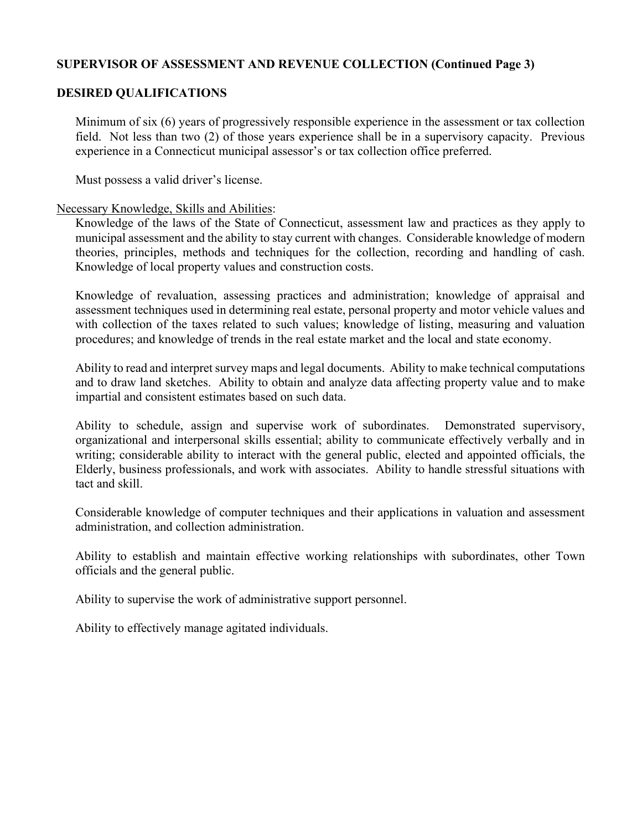## **SUPERVISOR OF ASSESSMENT AND REVENUE COLLECTION (Continued Page 3)**

## **DESIRED QUALIFICATIONS**

Minimum of six (6) years of progressively responsible experience in the assessment or tax collection field. Not less than two (2) of those years experience shall be in a supervisory capacity. Previous experience in a Connecticut municipal assessor's or tax collection office preferred.

Must possess a valid driver's license.

#### Necessary Knowledge, Skills and Abilities:

Knowledge of the laws of the State of Connecticut, assessment law and practices as they apply to municipal assessment and the ability to stay current with changes. Considerable knowledge of modern theories, principles, methods and techniques for the collection, recording and handling of cash. Knowledge of local property values and construction costs.

Knowledge of revaluation, assessing practices and administration; knowledge of appraisal and assessment techniques used in determining real estate, personal property and motor vehicle values and with collection of the taxes related to such values; knowledge of listing, measuring and valuation procedures; and knowledge of trends in the real estate market and the local and state economy.

Ability to read and interpret survey maps and legal documents. Ability to make technical computations and to draw land sketches. Ability to obtain and analyze data affecting property value and to make impartial and consistent estimates based on such data.

Ability to schedule, assign and supervise work of subordinates. Demonstrated supervisory, organizational and interpersonal skills essential; ability to communicate effectively verbally and in writing; considerable ability to interact with the general public, elected and appointed officials, the Elderly, business professionals, and work with associates. Ability to handle stressful situations with tact and skill.

Considerable knowledge of computer techniques and their applications in valuation and assessment administration, and collection administration.

Ability to establish and maintain effective working relationships with subordinates, other Town officials and the general public.

Ability to supervise the work of administrative support personnel.

Ability to effectively manage agitated individuals.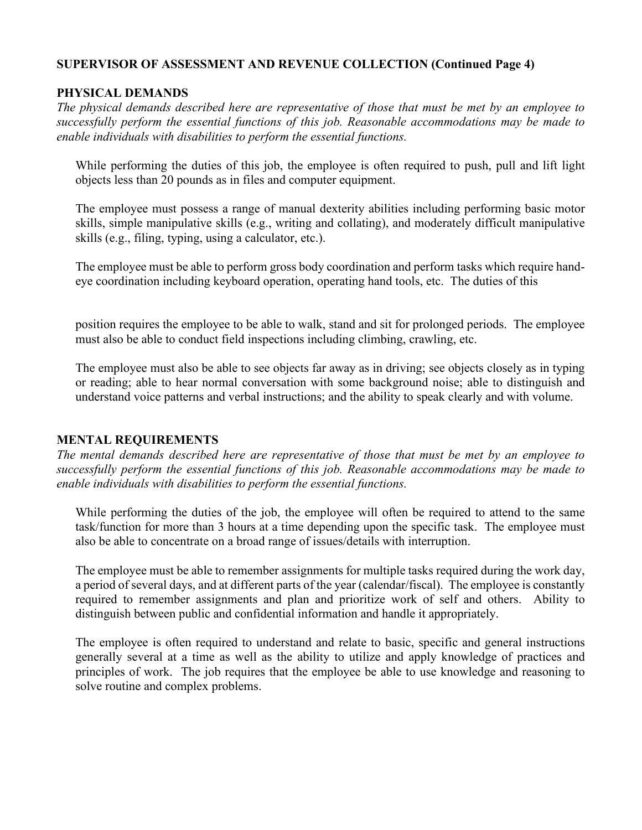#### **SUPERVISOR OF ASSESSMENT AND REVENUE COLLECTION (Continued Page 4)**

## **PHYSICAL DEMANDS**

*The physical demands described here are representative of those that must be met by an employee to successfully perform the essential functions of this job. Reasonable accommodations may be made to enable individuals with disabilities to perform the essential functions.* 

While performing the duties of this job, the employee is often required to push, pull and lift light objects less than 20 pounds as in files and computer equipment.

The employee must possess a range of manual dexterity abilities including performing basic motor skills, simple manipulative skills (e.g., writing and collating), and moderately difficult manipulative skills (e.g., filing, typing, using a calculator, etc.).

The employee must be able to perform gross body coordination and perform tasks which require handeye coordination including keyboard operation, operating hand tools, etc. The duties of this

position requires the employee to be able to walk, stand and sit for prolonged periods. The employee must also be able to conduct field inspections including climbing, crawling, etc.

The employee must also be able to see objects far away as in driving; see objects closely as in typing or reading; able to hear normal conversation with some background noise; able to distinguish and understand voice patterns and verbal instructions; and the ability to speak clearly and with volume.

#### **MENTAL REQUIREMENTS**

*The mental demands described here are representative of those that must be met by an employee to successfully perform the essential functions of this job. Reasonable accommodations may be made to enable individuals with disabilities to perform the essential functions.* 

While performing the duties of the job, the employee will often be required to attend to the same task/function for more than 3 hours at a time depending upon the specific task. The employee must also be able to concentrate on a broad range of issues/details with interruption.

The employee must be able to remember assignments for multiple tasks required during the work day, a period of several days, and at different parts of the year (calendar/fiscal). The employee is constantly required to remember assignments and plan and prioritize work of self and others. Ability to distinguish between public and confidential information and handle it appropriately.

The employee is often required to understand and relate to basic, specific and general instructions generally several at a time as well as the ability to utilize and apply knowledge of practices and principles of work. The job requires that the employee be able to use knowledge and reasoning to solve routine and complex problems.